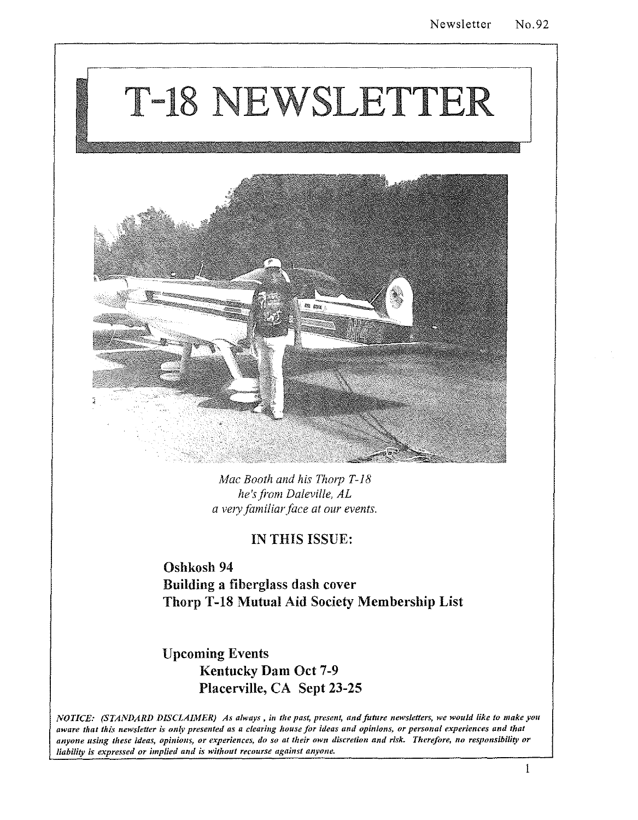# T-18 NEWSLETTER



*Mac Booth and his Thorp T-18 he's ji-om Daleville, AL a very familiar face at our events.* 

### IN THIS ISSUE:

Oshkosh 94 Building a fiberglass dash cover Thorp T-18 Mutual Aid Society Membership List

Upcoming Events Kentucky Dam Oct 7-9 Placerville, CA Sept 23-25

*NOTICE: (STANDARD DISCLAIMER) As always, in the past, present, and future newsletters, we would like to make you aware that this newsletter is on{v presented as a clearing house for ideas ami opinions, or personal experiences and that anyone using these ideas, opiniolls, or experiences, do so at their own discretion and risk. Therefore, no responsibility or liability is expressed or implied and is without recourse against anyone.*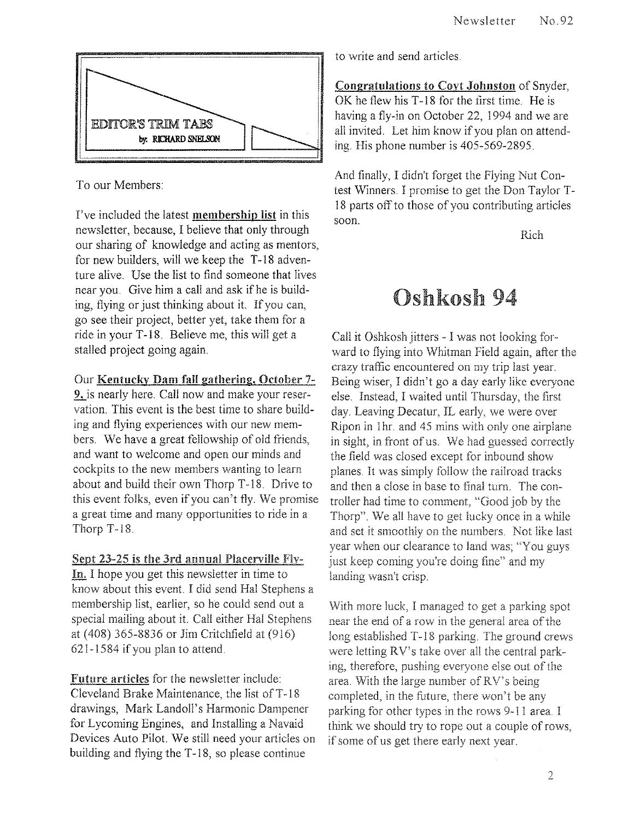

To our Members:

I've included the latest membership list in this newsletter, because, I believe that only through our sharing of knowledge and acting as mentors, for new builders, will we keep the T-18 adventure alive. Use the list to find someone that lives near you. Give him a call and ask if he is building, flying or just thinking about it. If you can, go see their project, better yet, take them for a ride in your T -18. Believe me, this will get a stalled project going again.

### Our Kentucky Dam fall gathering, October 7-

9, is nearly here. Call now and make your reservation. This event is the best time to share building and flying experiences with our new members. We have a great fellowship of old friends, and want to welcome and open our minds and cockpits to the new members wanting to learn about and build their own Thorp T-18. Drive to this event folks, even if you can't fly. We promise a great time and many opportunities to ride in a Thorp T-18.

### Sept 23-25 is the 3rd annual Placerville Fly-

In. I hope you get this newsletter in time to know about this event. I did send Hal Stephens a membership list, earlier, so he could send out a special mailing about it. Call either Hal Stephens at (408) 365-8836 or Jim Critchfield at (916) 621-1584 if you plan to attend.

Future articles for the newsletter include: Cleveland Brake Maintenance, the list of T-18 drawings, Mark Landoll's Harmonic Dampener for Lycoming Engines, and Installing a Navaid Devices Auto Pilot. We still need your atticles on building and flying the T-18, so please continue

to write and send articles.

Congratulations to Coyt Johnston of Snyder, OK he flew his T-18 for the first time. He is having a fly-in on October 22, 1994 and we are all invited. Let him know if you plan on attending. His phone number is 405-569-2895.

And finally, I didn't forget the Flying Nut Contest Winners. I promise to get the Don Taylor T-18 parts off to those of you contributing articles soon.

Rich

### Oshkosh 94

Call it Oshkosh jitters - I was not looking forward to flying into Whitman Field again, after the crazv traffic encountered on my trip last year. Being wiser, I didn't go a day early like everyone else. Instead, I waited until Thursday, the first day. Leaving Decatur, IL early, we were over Ripon in 1hr. and 45 mins with only one airplane in sight, in front of us. We had guessed correctly the field was closed except for inbound show planes. It was simply follow the railroad tracks and then a close in base to final tum. The controller had time to comment, "Good job by the Thorp". We all have to get lucky once in a while and set it smoothly on the numbers. Not like last year when our clearance to land was; "You guys just keep coming you're doing fine" and my landing wasn't crisp.

With more luck, I managed to get a parking spot near the end of a row in the general area of the long established T-18 parking. The ground crews were letting RV's take over all the central parking, therefore, pushing everyone else out of the area. With the large number ofRV's being completed, in the future, there won't be any parking for other types in the rows 9-11 area. I think we should try to rope out a couple of rows, if some of us get there early next year.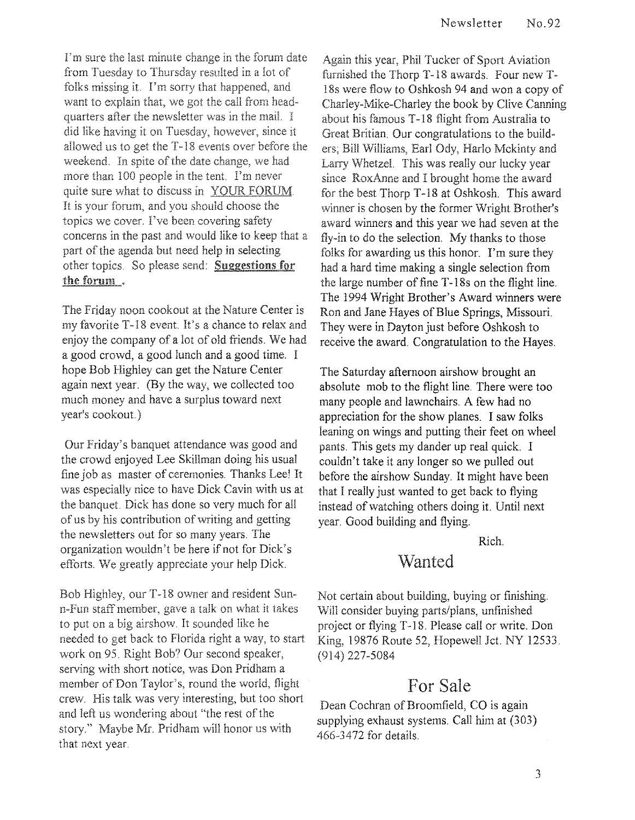I'm sure the last minute change in the forum date from Tuesday to Thursday resulted in a lot of folks missing it. I'm sorry that happened, and want to explain that, we got the call from headquarters after the newsletter was in the mail. I did like having it on Tuesday, however, since it allowed us to get the T-18 events over before the weekend. In spite of the date change, we had more than 100 people in the tent. I'm never quite sure what to discuss in YOUR FORUM. It is your forum, and you should choose the topics we cover. I've heen covering safety concerns in the past and would like to keep that a part of the agenda but need help in selecting other topics. So please send: Suggestions for the forum.

The Friday noon cookout at the Nature Center is my favorite T-18 event. It's a chance to relax and enjoy the company of a lot of old friends. We had a good crowd, a good lunch and a good time. I hope Bob Highley can get the Nature Center again next year. (By the way, we collected too much money and have a surplus toward next year's cookout.)

Our Friday's banquet attendance was good and the crowd enjoyed Lee Skillman doing his usual fine job as master of ceremonies. Thanks Lee! It was especially nice to have Dick Cavin with us at the banquet. Dick has done so very much for all of us by his contribution of writing and getting the newsletters out for so many years. The organization wouldn't be here if not for Dick's efforts. We greatly appreciate your help Dick.

Bob Highley, our T -18 owner and resident Sunn-Fun staff member, gave a talk on what it to put on a big airshow. It sounded like he needed to get back to Florida right a way, to start work on 95. Right Bob? Our second speaker, serving with short notice, was Don Pridham a member of Don Taylor's, round the world, flight crew. His talk was very interesting, but too short and left us wondering about "the rest of the story." Maybe Mr. Pridham will honor us with that next year.

Again this year, Phil Tucker of Sport Aviation furnished the Thorp T-18 awards. Four new T-18s were flow to Oshkosh 94 and won a copy of Charley-Mike-Charley the book by Clive Canning about his famous T -18 flight from Australia to Great Britian, Our congratulations to the builders; Bill Williams, Earl Ody, Harlo Mckinty and Larry Whetzel. This was really our lucky year since RoxAnne and I brought home the award for the best Thorp T-18 at Oshkosh. This award winner is chosen by the former Wright Brother's award winners and this year we had seven at the fly-in to do the selection. My thanks to those folks for awarding us this honor. I'm sure they had a hard time making a single selection from the large number of fine T -18s on the flight line. The 1994 Wright Brother's Award winners were Ron and Jane Hayes of Blue Springs, Missouri. They were in Dayton just before Oshkosh to receive the award. Congratulation to the Hayes.

The Saturday afternoon airshow brought an absolute mob to the flight line. There were too many people and lawnchairs. A few had no appreciation for the show planes. I saw folks leaning on wings and putting their feet on wheel pants. This gets my dander up real quick. I couldn't take it any longer so we pulled out before the airshow Sunday. It might have been that I really just wanted to get back to flying instead of watching others doing it. Until next year. Good building and flying.

Rich.

### Wanted

Not certain about building, buying or finishing. Will consider buying parts/plans, unfinished project or flying T-18. Please call or write. Don King, 19876 Route 52, Hopewell Jct. NY 12533. (914) 227-5084

### For Sale

Dean Cochran of Broomfield, CO is again supplying exhaust systems. Call him at (303) 466-3472 for details.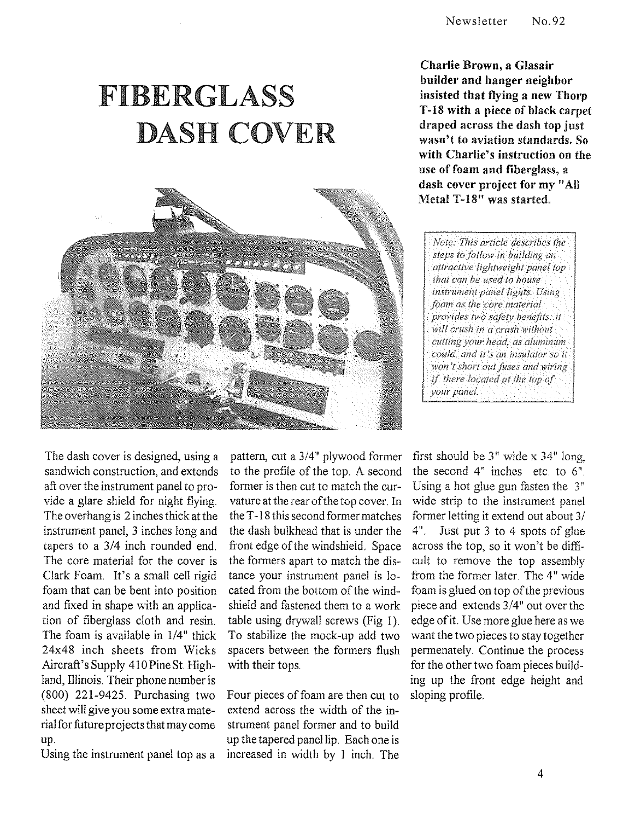## FIBERGLASS DASH COVER



Charlie Brown, a Glasair builder and hanger neighbor insisted that flying a new Thorp T-18 with a piece of black carpet draped across the dash top just wasn't to aviation standards. So with Charlie's instruction on the use of foam and fiberglass, a dash cover project for my "All Metal T-18" was started.

*Note: This article describes the steps to follow in bUilding an attractive lightweight panel top that can be used to house* instrument panel lights. Using *foam as the core material provides two safety benefits: it will crush in a crash without* cutting your head, as aluminum could, and it's an insulator so it won't short out fuses and wiring if there located at the top of vour panel.

The dash cover is designed, using a sandwich construction, and extends aft over the instrument panel to provide a glare shield for night flying. The overhang is 2 inches thick at the instrument panel, 3 inches long and tapers to a 3/4 inch rounded end. The core material for the cover is Clark Foam. It's a small cell rigid foam that can be bent into position and fixed in shape with an application of fiberglass cloth and resin. The foam is available in 1/4" thick 24x48 inch sheets from Wicks Aircraft's Supply 410 Pine St. Highland, Illinois. Their phone number is (800) 221-9425. Purchasing two sheet will give you some extra material for future projects that may come up.

Using the instrument panel top as a

pattern, cut a 3/4" plywood former to the profile of the top. A second former is then cut to match the curvature at the rear of the top cover. In the T -18 this second former matches the dash bulkhead that is under the front edge of the windshield. Space the formers apart to match the distance your instrument panel is located from the bottom of the windshield and fastened them to a work table using drywall screws (Fig I). To stabilize the mock-up add two spacers between the formers flush with their tops.

Four pieces of foam are then cut to extend across the width of the instrument panel former and to build up the tapered panel lip. Each one is increased in width by I inch. The

first should be 3" wide x 34" long, the second 4" inches etc. to 6". Using a hot glue gun fasten the  $3"$ wide strip to the instrument panel former letting it extend out about 3/ 4". Just put 3 to 4 spots of glue across the top, so it won't be difficult to remove the top assembly from the former later. The 4" wide foam is glued on top of the previous piece and extends 3/4" out over the edge of it. Use more glue here as we want the two pieces to stay together permenately. Continue the process for the other two foam pieces building up the front edge height and sloping profile.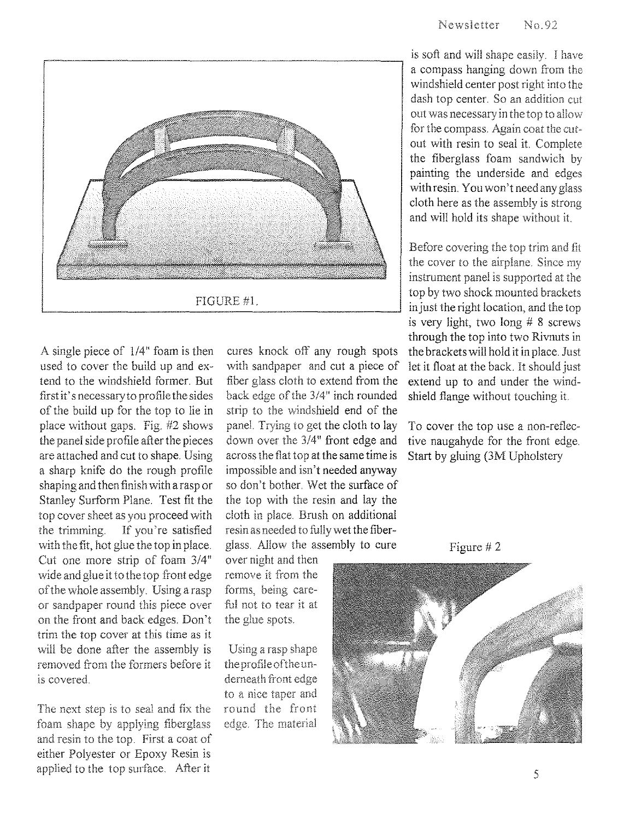

A single piece of  $1/4$ " foam is then used to cover the build up and extend to the windshield former. But first it' s necessary to profile the sides of the build up for the top to lie in place without gaps. Fig. #2 shows the panel side profile after the pieces are attached and cut to shape. Using a sharp knife do the rough profile shaping and then finish with a rasp or Stanley Surform Plane. Test fit the top cover sheet as you proceed with the trimming. If you're satisfied with the fit, hot glue the top in place. Cut one more strip of foam 3/4" wide and glue it to the top front edge ofthe whole assembly. Using a rasp or sandpaper round this piece over on the front and back edges. Don't trim the top cover at this time as it will be done after the assembly is removed from the formers before it is covered.

The next step is to seal and fix the foam shape by applying fiberglass and resin to the top. First a coat of either Polyester or Epoxy Resin is applied to the top surface. After it

cures knock off any rough spots with sandpaper and cut a piece of fiber glass cloth to extend from the back edge of the 3/4" inch rounded strip to the windshield end of the paneL Trying to get the cloth to lay down over the 3/4" front edge and across the flat top at the same time is impossible and isn't needed anyway so don't bother. Wet the surface of the top with the resin and lay the cloth in place. Brush on additional resin as needed to fully wet the fiberglass. Allow the assembly to cure

over night and then remove it from the forms, being careful not to tear it at the glue spots.

Using a rasp shape the profile of the underneath front edge to a nice taper and round the front edge. The material

is soft and will shape easily. I have a compass hanging down from the windshield center post right into the dash top center. So an addition cut out was necessary in the top to allow for the compass. Again coat the cutout with resin to seal it. Complete the fiberglass foam sandwich by painting the underside and edges with resin. You won't need any glass cloth here as the assembly is strong and will hold its shape without it.

Before covering the top trim and fit the cover to the airplane. Since my instrument panel is supported at the top by two shock mounted brackets in just the right location, and the top is very light, two long # 8 screws through the top into two Rivnuts in the brackets will hold it in place. Just let it float at the back. It should just extend up to and under the windshield flange without touching it.

To cover the top use a non-reflective naugahyde for the front edge. Start by gluing (3M Upholstery



Figure # 2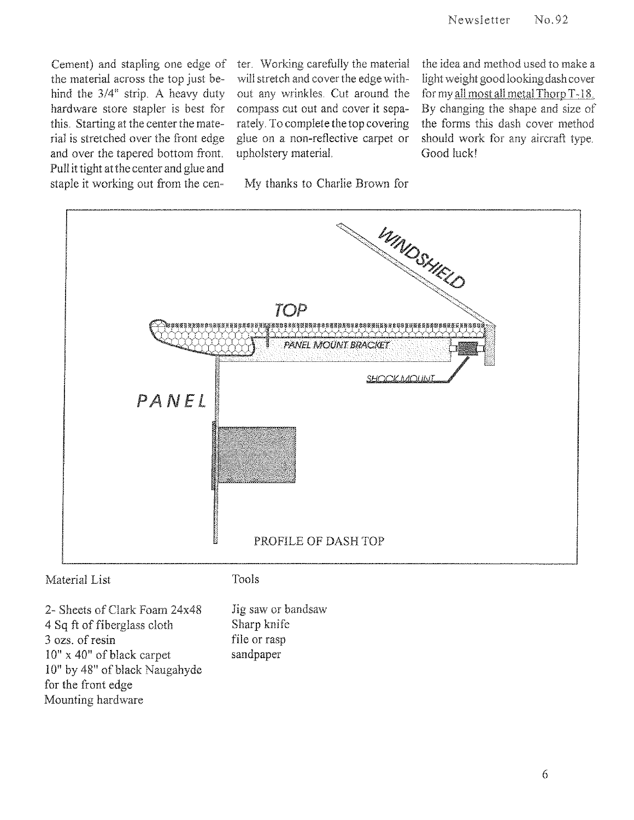Cement) and stapling one edge of ter. Working carefully the material<br>the material across the top just be-<br>will stretch and cover the edge withthe material across the top just behind the 3/4" strip, A heavy duty out any wrinkles, Cut around the hardware store stapler is best for compass cut out and cover it sepathis, Starting at the center the mate- rately, To complete the top covering rial is stretched over the front edge glue on a non-reflective carpet or and over the tapered bottom front. upholstery material. Pull it tight at the center and glue and staple it working out from the cen- My thanks to Charlie Brown for

the idea and method used to make a light weight good looking dash cover for my all most all metal Thorp T-18. By changing the shape and size of the forms this dash cover method should work for any aircraft type. Good luck!



2- Sheets of Clark Foam 24x48 4 Sq ft of fiberglass cloth 3 ozs, of resin 10" x 40" of black carpet 10" by 48" of black Naugahyde for the front edge Mounting hardware

Jig saw or bandsaw Sharp knife file or rasp sandpaper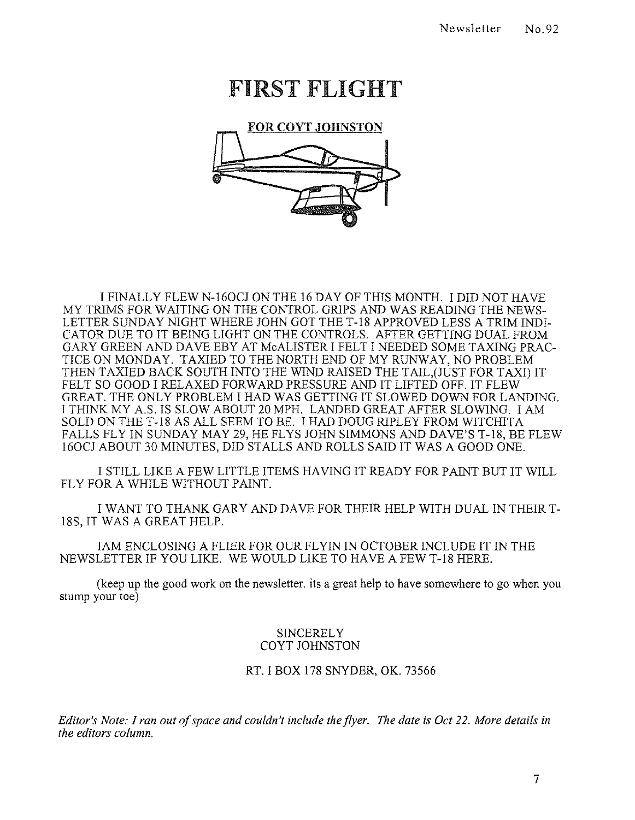### FIRST FLIGHT



I FINALLY FLEW N-160CJ ON THE 16 DAY OF THIS MONTH. I DID NOT HAVE MY TRIMS FOR WAITING ON THE CONTROL GRIPS AND WAS READING THE NEWS-LETTER SUNDAY NIGHT WHERE JOHN GOT THE T-18 APPROVED LESS A TRIM INDI-CATOR DUE TO IT BEING LIGHT ON THE CONTROLS. AFTER GETTING DUAL FROM GARY GREEN AND DAVE EBY AT McALISTER I FELT I NEEDED SOME TAXING PRAC-TICE ON MONDAY. TAXIED TO THE NORTH END OF MY **RUNWAY,** NO PROBLEM THEN TAXIED BACK SOUTH INTO THE WIND RAISED THE TAIL,(JUST FOR TAXI) IT FELT SO GOOD I RELAXED FORWARD PRESSURE AND IT LIFTED OFF. IT FLEW GREAT. THE ONLY PROBLEM I HAD WAS GETTING IT SLOWED DOWN FOR LANDING. I THINK MY A.S. IS SLOW ABOUT 20 MPH. LANDED GREAT AFTER SLOWING. I AM SOLD ON THE T-18 AS ALL SEEM TO BE. I HAD DOUG RIPLEY FROM WITCHITA FALLS FLY IN SUNDAY MAY 29, HE FLYS JOHN SIMMONS AND DAVE'S T-18, BE FLEW 160CJ ABOUT 30 MINUTES, DID STALLS AND ROLLS SAID IT WAS A GOOD ONE.

I STILL LIKE A FEW LITTLE ITEMS HAVING IT READY FOR PAINT BUT IT WILL FLY FOR A WHILE WITHOUT PAINT.

I WANT TO THANK GARY AND DAVE FOR THEIR HELP WITH DUAL IN THEIR T-18S, IT WAS A GREAT HELP.

lAM ENCLOSING A FLIER FOR OUR FL YIN IN OCTOBER INCLUDE IT IN THE NEWSLETTER IF YOU LIKE. WE WOULD LIKE TO HAVE A FEW T-18 HERE.

(keep up the good work on the newsletter. its a great help to have somewhere to go when you stump your toe)

#### **SINCERELY** COYT JOHNSTON

RT. I BOX 178 SNYDER, OK. 73566

*Editor's Note: I ran out of space and couldn* 'f *include the flyer. The date is Oct* 22. *More details in the editors column.*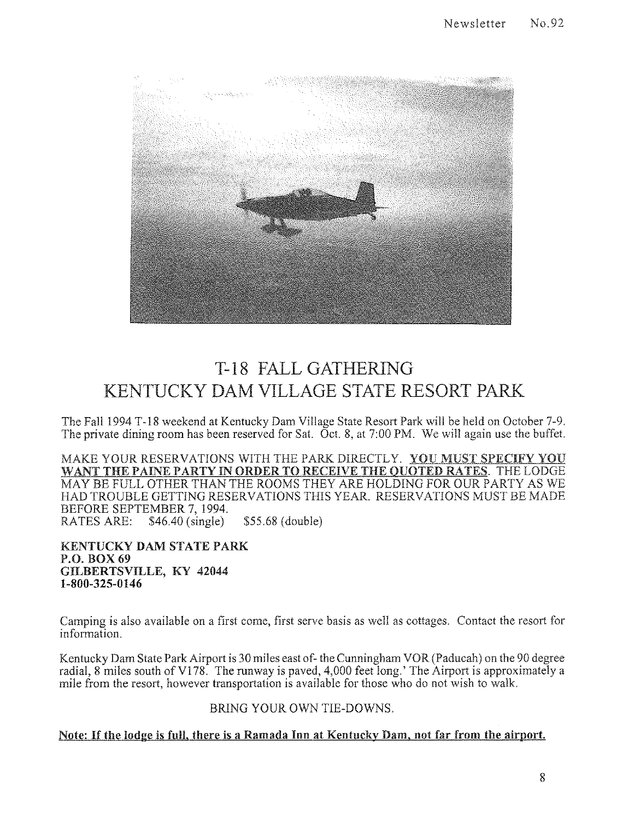

### T-18 FALL GATHERING KENTUCKY DAM VILLAGE STATE RESORT PARK

The Fall 1994 T-18 weekend at Kentucky Dam Village State Resort Park will be held on October 7-9. The private dining room has been reserved for Sat.  $\overline{O}$  ct. 8, at 7:00 PM. We will again use the buffet.

MAKE YOUR RESERVATIONS WITH THE PARK DIRECTLY. YOU MUST SPECIFY YOU WANT THE PAINE PARTY IN ORDER TO RECEIVE THE QUOTED RATES. THE LODGE MAYBE FULL OTHER THAN THE ROOMS THEY ARE HOLDING FOR OUR PARTY AS WE HAD TROUBLE GETTING RESERVATIONS THIS YEAR. RESERVATIONS MUST BE MADE BEFORE SEPTEMBER 7, 1994.<br>RATES ARE: \$46.40 (single) \$46.40 (single) \$55.68 (double)

KENTUCKY DAM STATE PARK P,O, BOX 69 GILBERTSVILLE, KY 42044 1-800-325-0146

Camping is also available on a first come, first serve basis as well as cottages. Contact the resort for information.

Kentucky Dam State Park Airport is 30 miles east of- the Cunningham VOR (Paducah) on the 90 degree radial, 8 miles south of V178. The runway is paved, 4,000 feet long.' The Airport is approximately a mile from the resort, however transportation is available for those who do not wish to walk

BRING YOUR OWN TIE-DOWNS.

### Note: If the lodge is full, there is a Ramada Inn at Kentucky Dam, not far from the airport.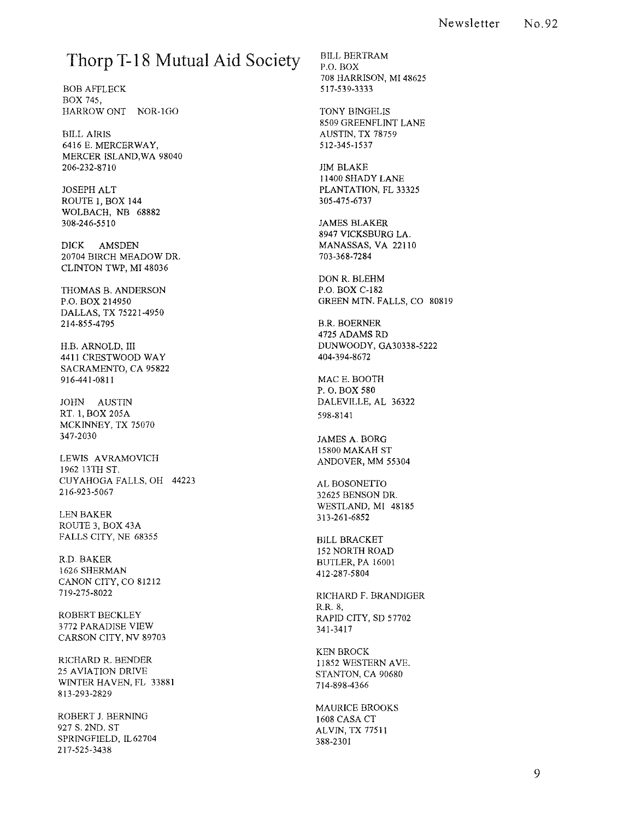### **Thorp T-18 Mutual Aid** Society

BOB AFFLECK BOX 745, HARROW ONT NOR-IGO

BILL AIRIS 6416 E. MERCERWAY, MERCER ISLAND,WA 98040 206-232-8710

JOSEPH ALT ROUTE 1, BOX 144 WOLBACH, NB 68882 308-246-55 I 0

DICK AMSDEN 20704 BIRCH MEADOW DR. CLINTON TWP, MI 48036

THOMAS B. ANDERSON P.O. BOX 214950 DALLAS, TX 75221-4950 214-855-4795

H.B. ARNOLD, III 4411 CRESTWOOD WAY SACRAMENTO, CA 95822 916-441-081 I

JOHN AUSTIN RT. 1, BOX 205A MCKINNEY, TX 75070 347-2030

LEWIS AVRAMOVICH 1962 13TH ST. CUYAHOGA FALLS, OH 44223 216-923-5067

LEN BAKER ROUTE 3, BOX 43A FALLS CITY, NE 68355

R.D. BAKER 1626 SHERMAN CANON CITY, CO 81212 719-275-8022

ROBERT BECKLEY 3772 PARADISE VIEW CARSON CITY, NV 89703

RICHARD R. BENDER 25 AVIATION DRIVE WINTER HAVEN, FL 33881 813-293-2829

ROBERT J. BERNING 927 S. 2ND. ST SPRINGFIELD, IL62704 217-525-3438

BILL BERTRAM P.O. BOX 708 HARRISON, MI 48625 5 I 7-539-3333

TONY BINGELIS 8509 GREENFLINT LANE AUSTIN, TX 78759 512-345-1537

JIM BLAKE I 1400 SHADY LANE PLANTATION, FL 33325 305-475-6737

JAMES BLAKER 8947 VICKSBURG LA. MANASSAS, VA 22110 703-368-7284

DON R. BLEHM P.O. BOX *C-182*  GREEN MIN. FALLS, CO 80819

B.R. BOERNER 4725 ADAMS RD DUNWOODY, GA30338-5222 404-394-8672

MACE. BOOTH P. O. BOX 580 DALEVILLE, AL 36322 598-8141

JAMES A. BORG 15800 MAKAH ST ANDOVER, MM 55304

AL BOSONETIO 32625 BENSON DR. WESTLAND, MI 48185 313-261-6852

BILL BRACKET 152 NORTH ROAD BUTLER,PA 16001 412-287-5804

RICHARD F. BRANDIGER R.R.8, RAPID CITY, SD 57702 341-3417

KEN BROCK 11852 WESTERN AVE. STANTON, CA 90680 714-898-4366

MAURICE BROOKS 1608 CASA CT ALVIN, TX 77511 388-2301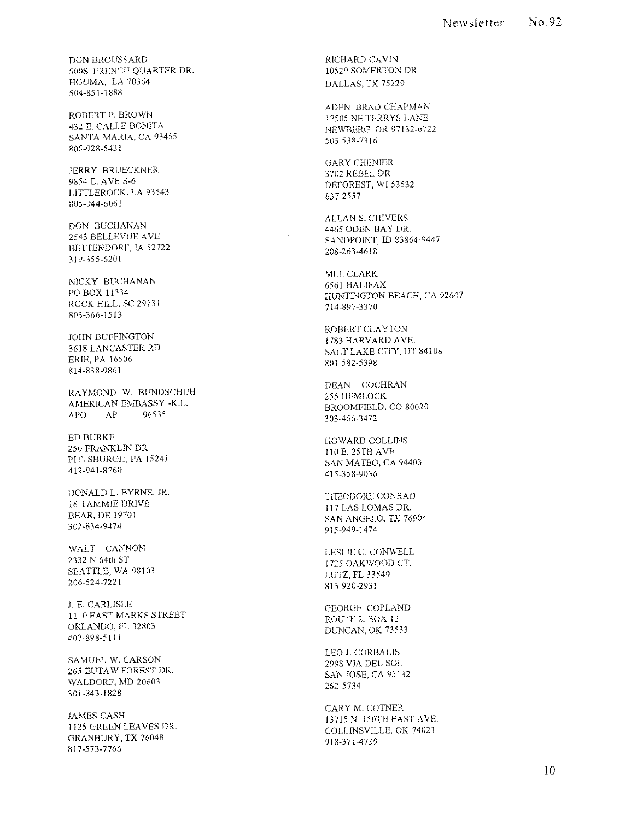DON BROUSSARD 500S, FRENCH QUARTER DR HOUMA, LA 70364 504-851-1888

ROBERT P, BROWN 432 E, CALLE BONITA SANTA MARIA, CA 93455 805-928-5431

JERRY BRUECKNER 9854 E, AVE S-6 LITTLEROCK, LA 93543 805-944-6061

DON BUCHANAN 2543 BELLEVUE AVE BETTENDORF, IA 52722 319-355-620 I

NICKY BUCHANAN PO BOX 11334 ROCK HILL, SC 29731 803-366-1513

JOHN BUFFINGTON 3618 LANCASTER RD, ERIE, PA 16506 814-838-9861

RA YMOND W, BUNDSCHUH AMERICAN EMBASSY -KL APO AP 96535

ED BURKE 250 FRANKLIN DR PITTSBURGH, PA 15241 412-941-8760

DONALD L. BYRNE, JR. 16 TAMMIE DRIVE BEAR, DE 1970] 302-834-9474

WALT CANNON 2332 N 64th ST SEATTLE, WA 98103 206-524-7221

j, E, CARLISLE 1110 EAST MARKS STREET ORLANDO, FL 32803 407-898-5111

SAMUEL W, CARSON 265 EUTAW FOREST DR, WALDORF, MD 20603 301-843-1828

JAMES CASH 1125 GREEN LEAVES DR GRANBURY, TX 76048 817-573-7766

RICHARD CAVIN 10529 SOMERTON DR DALLAS, TX 75229

ADEN BRAD CHAPMAN 17505 NETERRYS LANE NEWBERG, OR 97132-6722 503-538-7316

GARY CHENIER 3702 REBEL DR DEFOREST, WI 53532 837-2557

ALLAN S, CHIVERS 4465 ODEN BAY DR, SANDPOINT, lD 83864-9447 208-263-4618

MEL CLARK 6561 HALIFAX HUNTINGTON BEACH, CA 92647 714-897-3370

ROBERT CLAYTON 1783 HARVARD AVE, SALT LAKE CITY, UT 84108 801-582-5398

DEAN COCHRAN 255 HEMLOCK BROOMFIELD, CO 80020 303-466-3472

HOWARD COLLINS 110 E, 25TH AVE SAN MATEO, CA 94403 415-358-9036

THEODORE CONRAD 117 LAS LOMAS DR SAN ANGELO, TX 76904 915-949-1474

LESLIE C. CONWELL 1725 OAKWOOD CT. LUTZ, FL 33549 813-920-2931

GEORGE COPLAND ROUTE 2, BOX 12 DUNCAN, OK 73533

LEO J, CORBALIS 2998 VIA DEL SOL SAN JOSE, CA 95132 262-5734

GARY M, COTNER 13715 N, 150TH EAST AVE, COLLINSVILLE, OK 74021 918-371-4739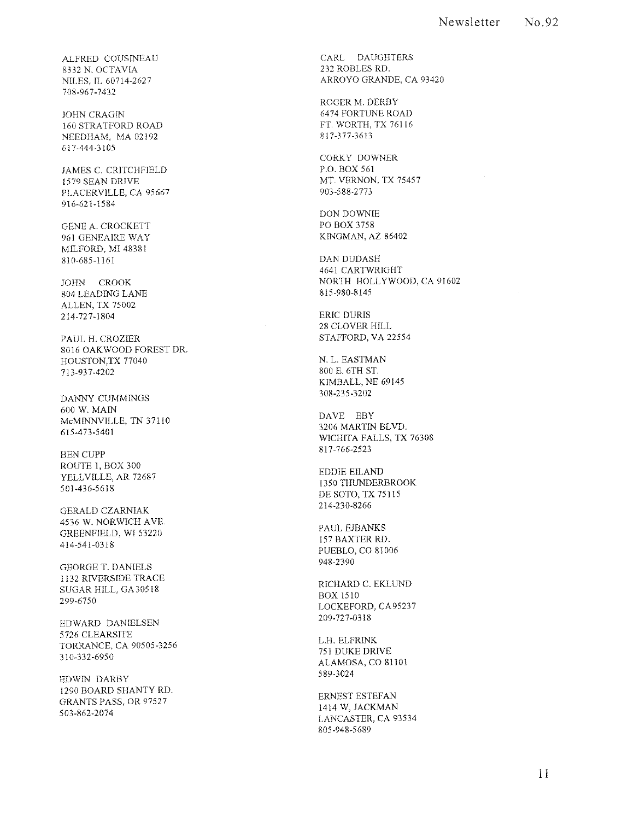ALFRED COUSINEAU 8332 N. OCTAVIA NILES, IL 60714-2627 708-967-7432

**JOHN CRAGIN** 160 STRATFORD ROAD NEEDHAM, MA 02192 617-444-3105

JAMES C. CRITCHFIELD 1579 SEAN DRIVE PLACERVILLE, CA 95667 916-621-1584

GENE A. CROCKETT 961 GENEAIRE WAY MILFORD, MI 48381 810-685-1161

JOHN CROOK 804 LEADING LANE ALLEN, TX 75002 214-72 7-1804

PAUL H. CROZIER 8016 OAKWOOD FOREST DR. HOUSTON,TX 77040 713-937-4202

DANNY CUMMINGS 600 W. MAIN McMINNVILLE, TN 37110 615-473-5401

BEN CUPP ROUTE I, BOX 300 YELLVILLE, AR 72687 501-436-5618

GERALD CZARNIAK 4536 W. NORWICH AVE. GREENFIELD, WI 53220 414-541-0318

GEORGE T. DANIELS 1132 RIVERSIDE TRACE SUGAR HILL, GA 30518 299-6750

EDWARD DANIELSEN 5726 CLEARSITE TORRANCE, CA 90505-3256 310-332-6950

EDWIN DARBY 1290 BOARD SHANTY RD. GRANTS PASS, OR 97527 503-862-2074

CARL DAUGHTERS 232 ROBLES RD. ARROYO GRANDE, CA 93420

ROGER M. DERBY 6474 FORTUNE ROAD FT. WORTH, TX 76116 817-377-3613

CORKY DOWNER P.O. BOX 561 MT. VERNON, TX 75457 903-588-2773

DON DOWNIE PO BOX 3758 KINGMAN, AZ 86402

DAN DUDASH 4641 CARTWRIGHT NORTH HOLLYWOOD, CA 91602 815-980-8145

ERIC DURIS 28 CLOVER HILL STAFFORD, VA 22554

N. L. EASTMAN 800 E. 6TH ST. KIMBALL, NE 69145 308-235-3202

DAVE EBY 3206 MARTIN BLVD. WICHITA FALLS, TX 76308 817-766-2523

EDDIE EILAND 1350 THUNDERBROOK DE SOTO, TX 75115 214-230-8266

PAUL EJBANKS 157 BAXTER RD. PUEBLO, CO 81006 948-2390

RICHARD C. EKLUND BOX 1510 LOCKEFORD, CA 9523 7 209-727-0318

L.H. ELFRINK 751 DUKE DRIVE ALAMOSA, CO 81101 589-3024

ERNEST ESTEFAN 1414 W, JACKMAN LANCASTER, CA 93534 805-948-5689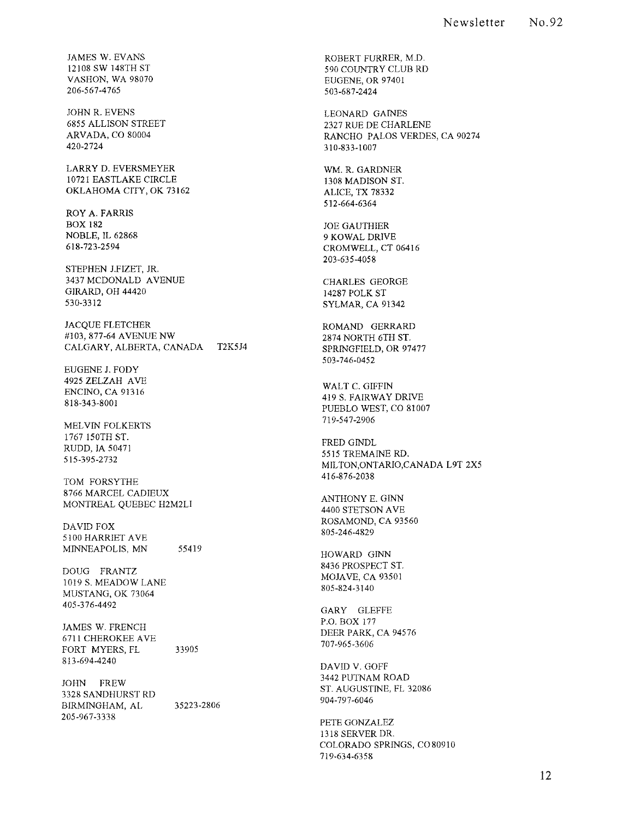JAMES W. EVANS 12108 SW 148TH ST VASHON, WA 98070 206-567-4765

JOHN R. EVENS 6855 ALLISON STREET ARVADA, CO 80004 420-2724

LARRY D. EVERSMEYER 10721 EASTLAKE CIRCLE OKLAHOMA CITY, OK 73162

ROY A. FARRIS BOX 182 NOBLE, IL 62868 618-723-2594

STEPHEN J.FIZET, JR. 3437 MCDONALD AVENUE GIRARD, OH 44420 530-3312

JACQUE FLETCHER #103, 877-64 AVENUE NW CALGARY, ALBERTA, CANADA T2K5J4

EUGENE J. FODY 4925 ZELZAH AVE ENCINO, CA 91316 818-343-8001

MELVIN FOLKERTS 1767 150TH ST. RUDD, IA 50471 515-395-2732

TOM FORSYTHE 8766 MARCEL CADIEUX MONTREAL QUEBEC H2M2L1

DAVID FOX 5100 HARRIET AVE MINNEAPOLIS, MN 55419

DOUG FRANTZ 1019 S. MEADOW LANE MUSTANG, OK 73064 405-376-4492

JAMES W. FRENCH 6711 CHEROKEE AVE FORT MYERS, FL 813-694-4240 33905

JOHN FREW 3328 SANDHURST RD BIRMINGHAM, AL 205-967-3338 35223-2806 ROBERT FURRER, M.D. 590 COUNTRY CLUB RD EUGENE, OR 97401 503-687-2424

LEONARD GAINES 2327 RUE DE CHARLENE RANCHO PALOS VERDES, CA 90274 310-833-1007

WM. R. GARDNER 1308 MADISON ST. ALICE, TX 78332 512-664-6364

JOE GAUTHIER 9 KOWAL DRIVE CROMWELL, CT 06416 203-635-4058

CHARLES GEORGE 14287 POLK ST SYLMAR, CA 91342

ROMAND GERRARD 2874 NORTH 6TH ST. SPRrNGFIELD, OR 97477 503-746-0452

WALT C. GIFFIN 419 S. FAIRWAY DRIVE PUEBLO WEST, CO 81007 719-547-2906

FRED GINDL 5515 TREMAINE RD. MILTON,ONTARIO,CANADA L9T 2X5 416-876-2038

ANTHONY E. GINN 4400 STETSON AVE ROSAMOND, CA 93560 805-246-4829

HOWARD GINN 8436 PROSPECT ST. MOJAVE, CA 93501 805-824-3140

GARY GLEFFE P.O. BOX 177 DEER PARK, CA 94576 707-965-3606

DAVID V. GOFF 3442 PUTNAM ROAD ST. AUGUSTINE, FL 32086 904-797-6046

PETE GONZALEZ 1318 SERVER DR. COLORADO SPRrNGS, C080910 719-634-6358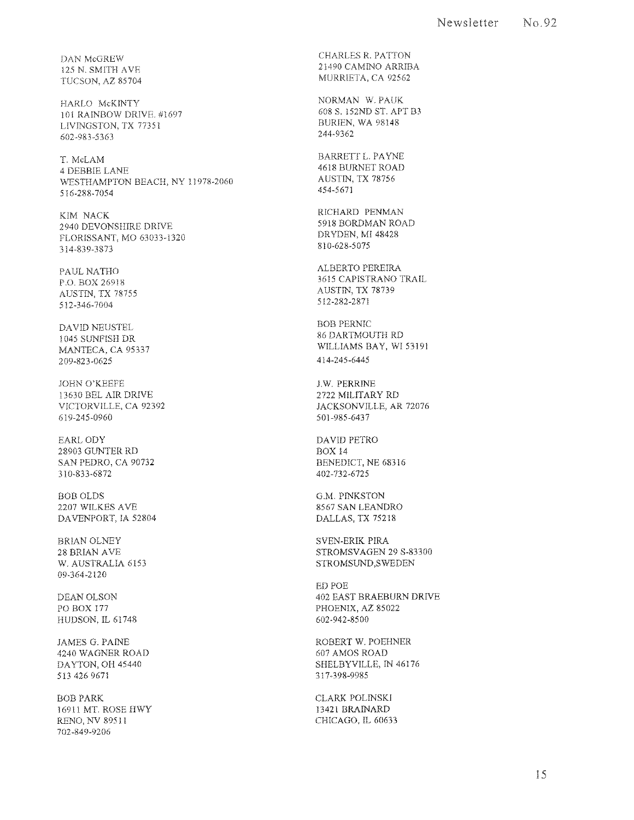DAN McGREW 125 N, SMITH AVE TUCSON, AZ 85704

HARLO McKINTY 101 RAINBOW DRIVE, #1697 LIVINGSTON, TX 77351 602-983-5363

**T. McLAM**  4 DEBBIE LANE WESTHAMPTON BEACH, NY 11978-2060 516-288-7054

KIM NACK 2940 DEVONSHIRE DRIVE FLORISSANT, MO 63033-1320 314-839-3873

PAUL NATHO ED, BOX 26918 AUSTIN, TX 78755 512-346-7004

DAVID NEUSTEL 1045 SUNFISH DR MANTECA, CA 95337 209-823-0625

JOHN O'KEEFE 13630 BEL AIR DRIVE VICTORVILLE, CA 92392 619-245-0960

EARLODY 28903 GUNTER RD SAN PEDRO, CA 90732 310-833-6872

BOBOLDS 2207 WILKES AVE DAVENPORT, IA 52804

BRIAN OLNEY 28 BRIAN AVE W, AUSTRALIA 6153 09-364-2120

DEAN OLSON PO BOX 177 HUDSON, IL 61748

JAMES G, PAINE 4240 WAGNER ROAD DAYTON, OH 45440 513 426 9671

BOB PARK 16911 MT, ROSE HWY RENO, NV 89511 702-849-9206

CHARLES R, PATTON 21490 CAMINO ARRIBA MURRIETA, CA 92562

NORMAN W, PAUK 608 S, 152ND ST, APT B3 BURIEN, WA 98148 244-9362

BARRETT L. PAYNE 4618 BURNET ROAD AUSTIN, TX 78756 454-5671

RICHARD PENMAN 5918 BORDMAN ROAD DRYDEN, MI 48428 810-628-5075

ALBERTO PEREIRA 3615 CAPISTRANO TRAIL AUSTIN, TX 78739 512-282-2871

BOB PERNIC 86 DARTMOUTH RD WILLIAMS BAY, WI 53191 414-245-6445

lW, PERRINE 2722 MILITARY RD JACKSONVILLE, AR 72076 501-985-6437

DAVID PETRO BOX 14 BENEDICT, NE 68316 402-732-6725

G,M, PINKSTON 8567 SAN LEANDRO DALLAS, TX 75218

SVEN-ERIK PIRA STROMSVAGEN 29 S-83300 STROMSUND,SWEDEN

ED POE 402 EAST BRAEBURN DRIVE PHOENIX, AZ 85022 602-942-8500

ROBERT w, POEHNER 607 AMOS ROAD SHELBYVILLE, IN 46176 317-398-9985

CLARK POLINSKI 13421 BRAINARD CHICAGO, IL 60633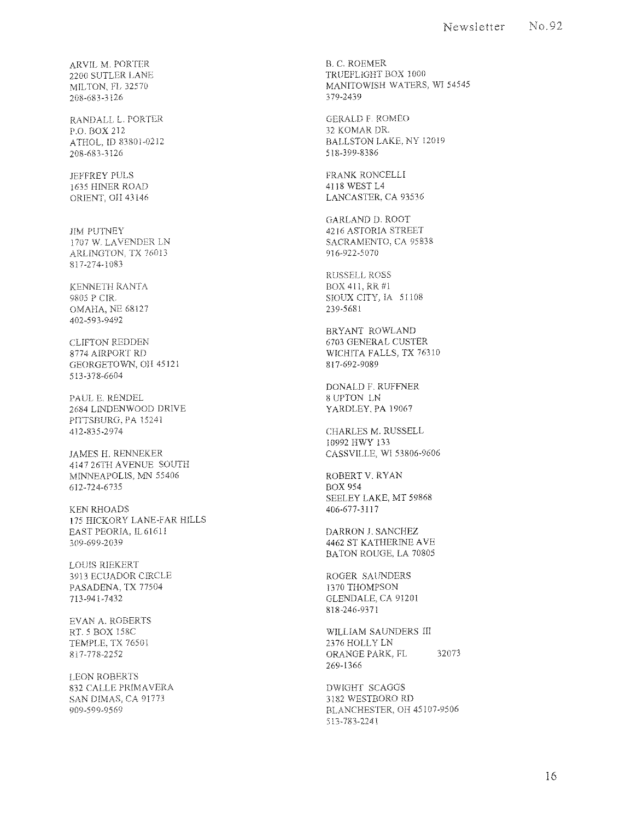ARV1L M. PORTIeR 2200 SUTLER LANE MILTON, FL 32570 208-683-3126

RANDALL L PORTER P.O. BOX 212 ATHOL, ID 83801-0212 208-683-3126

**JEFFREY PULS** 1635 HINER ROAD ORIENT, OH 43146

JIM PUTNEY 1707 W, LAVENDER LN ARLINGTON. TX 76013 817-274-1083

KENNETH RANTA 9805 P CIR. OMAHA, NE 68127 402-593-9492

CLIFTON REDDEN 8774 AIRPORT RD GEORGETOWN, on 45121 513-378-6604

PAUL E. RENDEL 2684 LINDENWOOD DRIVE PITTSBURG, PA 15241 412-835-2974

JAMES H. RENNEKER 4147 26TH AVENUE SOUTH MINNEAPOLIS, MN 55406 612-724-6735

KEN RHOADS 175 HICKORY LANE-FAR HILLS EAST PEORIA, IL61611 309-699-2039

LOUIS RIEKERT 3913 ECUADOR C!RCLE PASADENA, TX 77504 713-941-7432

EVAN A. ROBERTS RT. 5 BOX 158C TEMPLE, TX 76501 817-778-2252

LEON ROBERTS 832 CALLE PRIMAVERA SAN DIMAS, CA 91773 909-599-9569

B. C. ROEMER TRUEFLlGHT BOX 1000 MANITOWISH WATERS, WI 54545 379-2439

GERALD F. ROMEO 32 KOMAR DR. BALLSTON LAKE, NY 12019 5 I 8-399-8386

FRANK RONCELLI 4118 WEST L4 LANCASTER, CA 93536

GARLAND D. ROOT 4216 ASTORIA STREET SACRAMENTO, CA 95838 916-922·5070

RUSSELL ROSS BOX 411, RR #1 SIOUX CITY, IA 51108 239-5681

BRYANT ROWLAND 6703 GENERAL CUSTER WICHITA FALLS, TX 76310 817-692-9089

DONALD F. RUFFNER 8 UPTON LN YARDLEY, PA 19067

CHARLES M. RUSSELL 10992 HWY 133 CASSVILLE, WI 53806-9606

ROBERT V. RYAN BOX 954 SEELEY LAKE, MT 59868 406-677-31 I 7

DARRON J. SANCHEZ 4462 ST KATHER!NE AVE BATON ROUGE, LA 70805

ROGER SAUNDERS 1370 THOMPSON GLENDALE, CA 91201 818-246-9371

WILLIAM SAUNDERS III 2376 HOLLY LN ORANGE PARK, FL<sub>32073</sub> 269-1366

DWIGHT SCAGGS 3182 WESTBORO RD BLANCHESTER, on 451 07~9506 513~ 783~2241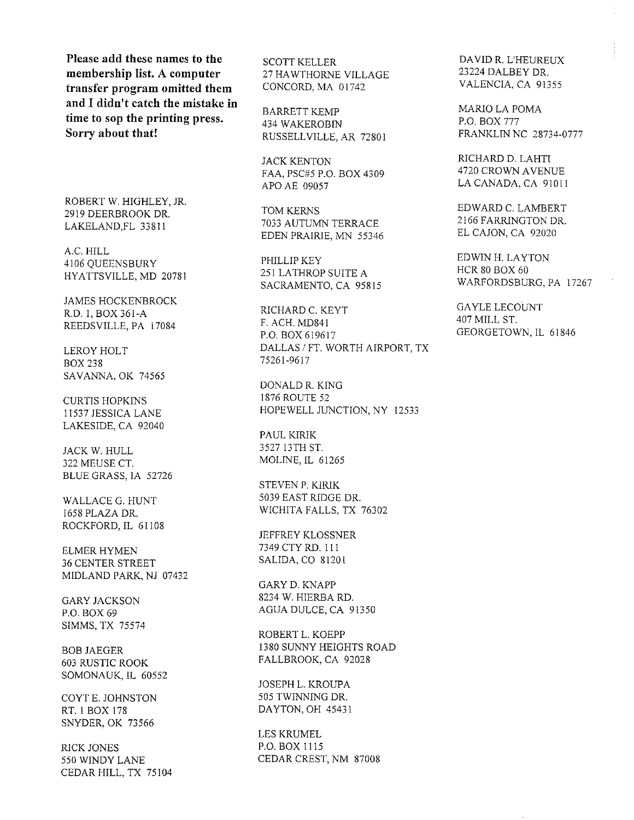**Please add these names to the membership list. A computer transfer program omitted them and I didn't catch the mistake in time to sop the printing press. Sorry about that!** 

ROBERT W. HIGHLEY, JR. 2919 DEERBROOK DR. LAKELAND,FL 33811

A.C.HILL 4106 QUEENSBURY HYATTSVILLE, MD 20781

JAMES HOCKENBROCK R.D. I, BOX 361-A REEDSVILLE, PA 17084

LEROY HOLT BOX 238 SAVANNA, OK 74565

CURTIS HOPKINS 11537 JESSICA LANE LAKESIDE, CA 92040

JACK W. HULL 322 MEUSE CT. BLUE GRASS, IA 52726

WALLACE G. HUNT 1658 PLAZA DR. ROCKFORD, IL 61108

ELMER HYMEN 36 CENTER STREET MIDLAND PARK, NJ 07432

GARY JACKSON P.O. BOX 69 SIMMS, TX 75574

BOB JAEGER 603 RUSTIC ROOK SOMONAUK, IL 60552

COYT E. JOHNSTON RT. I BOX 178 SNYDER, OK 73566

RICK JONES 550 WINDY LANE CEDAR HILL, TX 75104 SCOTT KELLER 27 HA WTHORNE VILLAGE CONCORD, MA 01742

BARRETT KEMP 434 WAKEROBIN RUSSELLVILLE, AR 7280 I

JACK KENTON FAA, PSC#5 P.O. BOX 4309 APO AE 09057

TOM KERNS 7033 AUTUMN TERRACE EDEN PRAIRIE, MN 55346

PHILLIP KEY 251 LATHROP SUITE A SACRAMENTO, CA 95815

RICHARD C. KEYT F. ACH. MD841 P.O. BOX 619617 DALLAS / FT. WORTH AIRPORT, TX 75261-9617

DONALD R. KING 1876 ROUTE 52 HOPEWELL JUNCTION, NY 12533

PAUL KIRIK 3527 13TH ST. MOLINE, IL 61265

STEVEN P. KIRIK 5039 EAST RIDGE DR. WICHITA FALLS, TX 76302

JEFFREY KLOSSNER 7349 CTY RD. I II SALIDA, CO 81201

GARY D. KNAPP 8234 W. HIERBA RD. AGUA DULCE, CA 91350

ROBERTL. KOEPP 1380 SUNNY HEIGHTS ROAD FALLBROOK, CA 92028

JOSEPH L. KROUPA 505 TWINNING DR. DA YTON, OH 45431

LES KRUMEL P.O. BOX 1115 CEDAR CREST, NM 87008 DA VID R. L'HEUREUX 23224 DALBEY DR. VALENCIA, CA 91355

MARIO LA POMA P.O. BOX 777 FRANKLIN NC 28734-0777

RICHARD D. LAHTI 4720 CROWN A VENUE LA CANADA, CA 91011

EDWARD C. LAMBERT 2166 FARRINGTON DR. EL CAJON, CA 92020

EDWlN H. LAYTON HCR 80 BOX 60 WARFORDSBURG, PA 17267

GA YLE LECOUNT 407 MILL ST. GEORGETOWN, IL 61846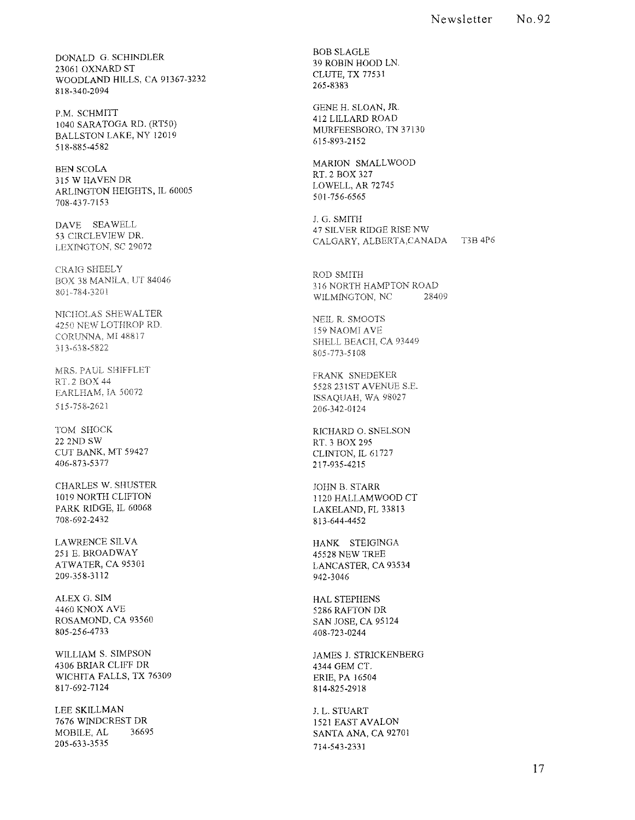DONALD G. SCHINDLER 23061 OXNARD ST WOODLAND HILLS, CA 91367-3232 818-340-2094

P.M. SCHMITT 1040 SARATOGA RD. (RT50) BALLSTON LAKE, NY 12019 518-885-4582

BEN SCOLA 315 W HAVEN DR ARLINGTON HEIGHTS, IL 60005 708-437-7153

DAVE SEA WELL 53 CIRCLEVIEW DR. LEXINGTON, SC 29072

CRAIG SHEELY BOX 38 MANILA, UT *84046*  80 1-784-J20 1

NICIlOLAS SHEW ALTER 4250 NEW LOTHROP RD. CORUNNA, MI48817 313~638-5822

MRS. PAUL SHIFFLET RT 2 BOX 44 EARLHAM, IA 50072 515-758-2621

TOM SHOCK 22 2ND SW CUT BANK, MT 59427 406-873-5377

CHARLES W. SHUSTER 1019 NORTH CLIFTON PARK RIDGE, IL 60068 708-692-2432

LAWRENCE SILVA 251 E. BROADWAY ATWATER, CA 95301 209-358-3112

ALEX G. SIM 4460 KNOX AVE ROSAMOND, CA 93560 805-256-4733

WILLIAM S. SIMPSON 4306 BRIAR CLIFF DR WICHITA FALLS, TX 76309 817-692-7124

LEE SKILLMAN 7676 WINDCREST DR MOBILE, AL 36695 205-633-3535

BOB SLAGLE 39 ROBIN HOOD LN. CLUTE, TX 77531 265-8383

GENE H. SLOAN, JR 412 LILLARD ROAD MURFEESBORO, TN 37130 615-893-2152

MARION SMALLWOOD RT.2 BOX 327 LOWELL, AR 72745 501-756-6565

J. G. SMITH 47 SILVER RIDGE RISE NW CALGARY, ALBERTA, CANADA T3B 4P6

ROD SMITH 316 NORTH HAMPTON ROAD<br>WILMINGTON, NC 28409 WILMINGTON, NC

NEIL R. SMOOTS 159 NAOMI AVE SHELL BEACH, CA 93449 805-773-5108

FRANK SNEDEKER 5528 231ST AVENUE S.E. ISSAQUAH, WA 98027 206-342-0124

RICHARD O. SNELSON RT.3 BOX 295 CLINTON, IL 61727 217-935-4215

JOHN B. STARR 1120 HALLAMWOOD CT LAKELAND, FL 33813 813-644-4452

HANK STEIGINGA 45528 NEW TREE LANCASTER, CA 93534 942-3046

HAL STEPHENS 5286 KAFTON DR SAN JOSE, CA 95124 408-723-0244

JAMES 1. STRICKENBERG 4344 GEM CT. ERIE, PA 16504 814-825-2918

J. L. STUART 1521 EAST AVALON SANTA ANA, CA 92701 714-543-2331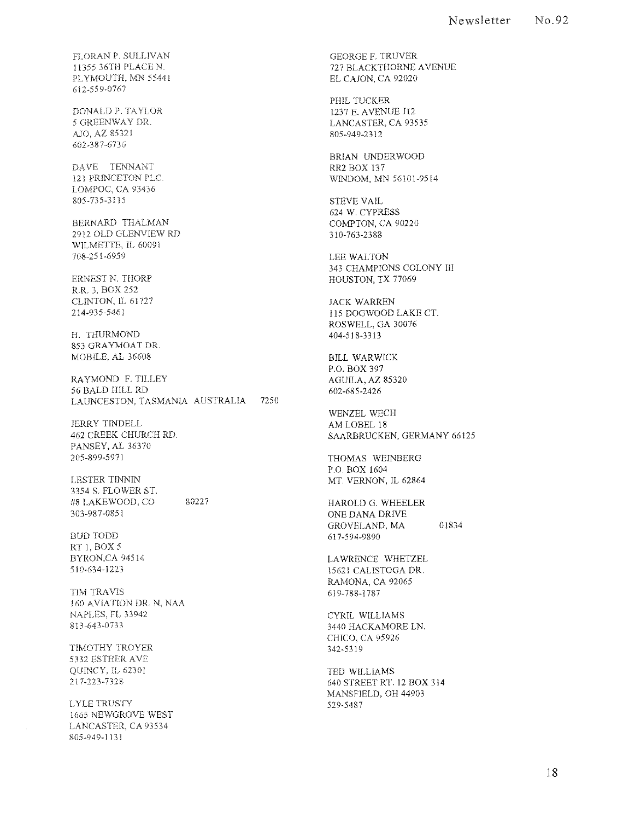FLORAN P. SULLIVAN 11355 36TH PLACE N. PLYMOUTH, MN 55441 612,559-0767

DONALD P. TA YLOR 5 GREENWAY DR. ;\]0, AZ 85321 602-38?~6736

DAVE TENNANT 121 PRINCETON PLC. LOMPOC, CA 93436 805-735-3115

BERNARD THALMAN 2912 OLD GLENVIEW RD WILMETTE, IL 60091 708-251-6959

ERNEST N. THORP R.R. 3, BOX 252 CLINTON, It 61727 214-935-5461

H. THURMOND 853 GRAYMOAT DR. MOBILE, AL 36608

RAYMOND F. TILLEY 56 BALD HILL RD LAIINCESTON, TASMANIA AUSTRALIA 7250

JERRY TINDELL 462 CREEK CHURCH RD. PANSEY, AL 36370 205-899-5971

LESTER TINNIN 3354 S. FLOWER ST #8 LAKEWOOD, CO 303-987-0851 80227

BUD TODD RT 1, BOX 5 BYRON,CA 94514 510-634-1223

TIM TRAVIS 1 60 AVIATION DR. N, NAA NAPLES, FL 33942 813-643,0733

TIMOTHY TROYER 5332 ESTHER AVE QUINCY, IL 62301 217~223~7328

LYLE TRUSTY 1665 NEWGROVE WEST LANCASTER, CA 93534 805-949,] 131

GEORGE F. TRUVER 727 BLACKTHORNE AVENUE EL CAJON, CA 92020

PHIL TUCKER 1237 E. AVENUE lIZ LANCASTER, CA 93535 805-949-2312

BRIAN UNDERWOOD RRl BOX 137 WINDOM, MN 56101-9514

STEVE VAIL 624 W. CYPRESS COMPTON, CA 90220 310-763-2388

LEE WALTON 343 CHAMPIONS COLONY III HOUSTON, TX 77069

JACK WARREN 115 DOGWOOD LAKE CT. ROSWELL, GA 30076 404-518-3313

BILL WARWICK P.O. BOX 397 AGUILA, AZ 85320 602-685-2426

WENZEL WECH AM LOBEL 18 SAARBRUCKEN, GERMANY 66125

THOMAS WEINBERG P.O. BOX 1604 MT. VERNON, IL 62864

HAROLD G. WHEELER ONE DANA DRIVE GROVELAND, MA 01834 617-594,9890

LAWRENCE WHETZEL 15621 CALISTOGA DR. RAMONA, CA 92065 619-788-1787

CYRIL WILLIAMS 3440 HACKAMORE LN. CHICO, CA 95926 342-53 I 9

TED WILLIAMS 640 STREET RT. 12 BOX 314 MANSFIELD, OH 44903 529-5487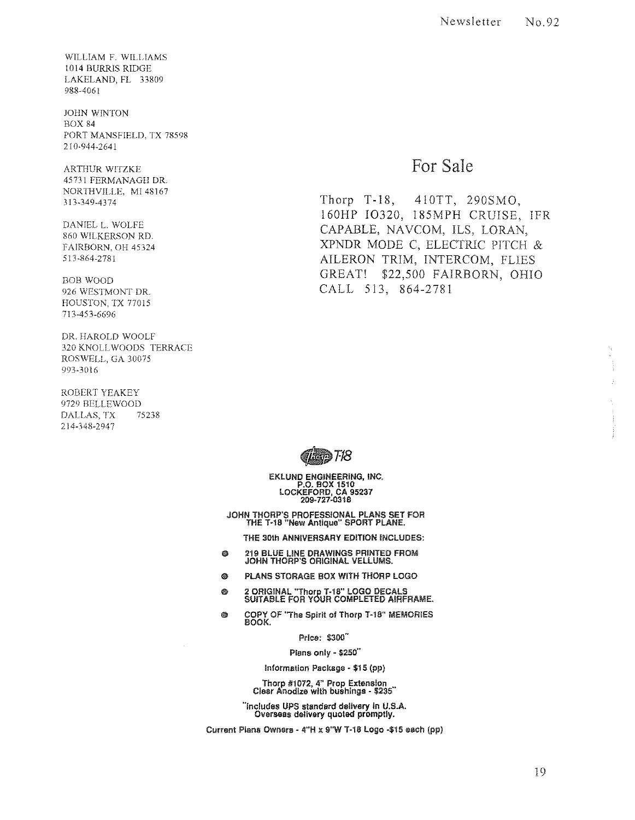WILLIAM F. WILLIAMS 1014 BURRIS RIDGE LAKELAND, FL 33809 988-4061

JOHN WINTON BOX 84 PORT MANSFIELD. TX 78598 210·944-2641

ARTHUR WITZKE 45731 FERMANAGH DR. NORTHVILLE. MI 48167 .113-349-4374

DANIEL L. WOLFE 860 WILKERSON RD. FAIRBORN, OH 45324 513-864-2781

BOB WOOD 926 WESTMONT DR HOUSTON, TX 77015 713-453-6696

DR. HAROLD WOOLF 320 KNOLL WOODS TERRACE ROSWELL, GA 30075 993-3016

ROBERT YEAKEY 9729 BELLEWOOD DALLAS, TX 75238 214-348-2947

### For Sale

Thorp T-18, 410TT, 290SMO, 160HP I0320, 185MPH CRUISE, IFR CAPABLE, NAVCOM, ILS, LORAN, XPNDR MODE C, ELECTRIC PITCH & AILERON TRIM, INTERCOM, FLIES GREAT! \$22,500 FAIRBORN, OHIO CALL 513, 864-2781



EKLUND ENGINEERING, INC. P.O. BOX 1510 LOCKEFORD, CA 95237 209·727-0318

JOHN THORP'S PROFESSIONAL PLANS seT FOR THE T·18 "New Antique" SPORT PLANE.

THE 30th ANNIVERSARY EDITION INCLUDES:

- 繇 219 BLUE LINE DRAWINGS PRINTED FROM JOHN THORP'S ORIGINAL VELLUMS.
- ◎ PLANS STORAGE BOX WITH THORP LOGO
- 6 2 ORIGINAL ''Thorp 1-18" LOGO DECALS SUITABLE FOR YOUR COMPLETED AIRFRAME.
- Ø COPY OF ''Tho Spirit 01 Thorp T-18" MEMORIES BOOK.

Price: \$300"

Plans only - \$250"

Information Package - \$15 (pp)

Thorp #1072, 4" Prop Extension<br>"Clear Anodize with bushings - \$235

"Includes UPS standard delivery in U.S.A. Overseas delivery quoted promptly.

Current Plans Owners - 4"H x 9"W T-18 Logo -\$15 each (pp)